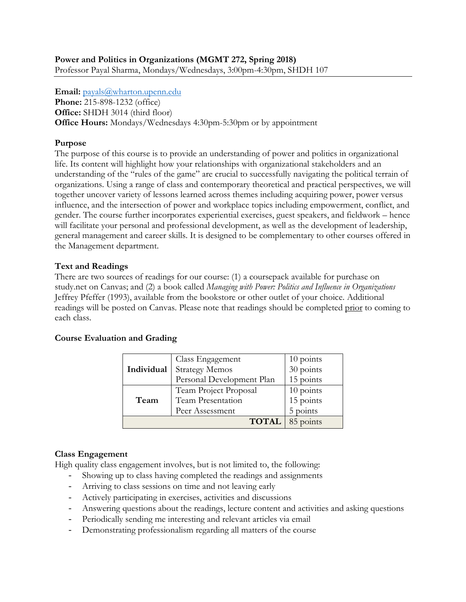**Email:** [payals@wharton.upenn.edu](mailto:payals@wharton.upenn.edu)

**Phone:** 215-898-1232 (office) **Office:** SHDH 3014 (third floor) **Office Hours:** Mondays/Wednesdays 4:30pm-5:30pm or by appointment

## **Purpose**

The purpose of this course is to provide an understanding of power and politics in organizational life. Its content will highlight how your relationships with organizational stakeholders and an understanding of the "rules of the game" are crucial to successfully navigating the political terrain of organizations. Using a range of class and contemporary theoretical and practical perspectives, we will together uncover variety of lessons learned across themes including acquiring power, power versus influence, and the intersection of power and workplace topics including empowerment, conflict, and gender. The course further incorporates experiential exercises, guest speakers, and fieldwork – hence will facilitate your personal and professional development, as well as the development of leadership, general management and career skills. It is designed to be complementary to other courses offered in the Management department.

#### **Text and Readings**

There are two sources of readings for our course: (1) a coursepack available for purchase on study.net on Canvas; and (2) a book called *Managing with Power: Politics and Influence in Organizations* Jeffrey Pfeffer (1993), available from the bookstore or other outlet of your choice. Additional readings will be posted on Canvas. Please note that readings should be completed prior to coming to each class.

# **Course Evaluation and Grading**

|            | Class Engagement          | 10 points |
|------------|---------------------------|-----------|
| Individual | <b>Strategy Memos</b>     | 30 points |
|            | Personal Development Plan | 15 points |
| Team       | Team Project Proposal     | 10 points |
|            | Team Presentation         | 15 points |
|            | Peer Assessment           | 5 points  |
|            | <b>TOTAL</b> 85 points    |           |

# **Class Engagement**

High quality class engagement involves, but is not limited to, the following:

- Showing up to class having completed the readings and assignments
- Arriving to class sessions on time and not leaving early
- Actively participating in exercises, activities and discussions
- Answering questions about the readings, lecture content and activities and asking questions
- Periodically sending me interesting and relevant articles via email
- Demonstrating professionalism regarding all matters of the course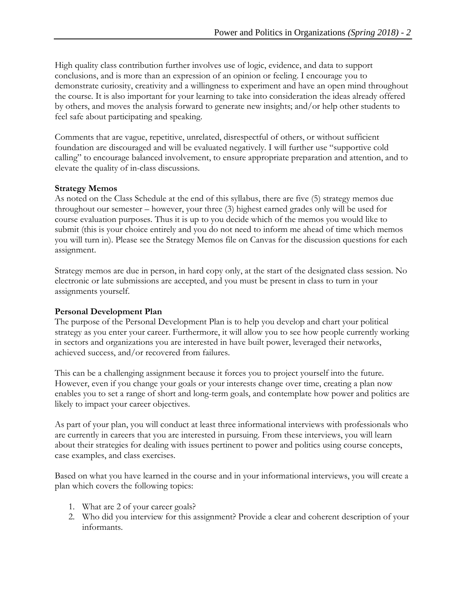High quality class contribution further involves use of logic, evidence, and data to support conclusions, and is more than an expression of an opinion or feeling. I encourage you to demonstrate curiosity, creativity and a willingness to experiment and have an open mind throughout the course. It is also important for your learning to take into consideration the ideas already offered by others, and moves the analysis forward to generate new insights; and/or help other students to feel safe about participating and speaking.

Comments that are vague, repetitive, unrelated, disrespectful of others, or without sufficient foundation are discouraged and will be evaluated negatively. I will further use "supportive cold calling" to encourage balanced involvement, to ensure appropriate preparation and attention, and to elevate the quality of in-class discussions.

#### **Strategy Memos**

As noted on the Class Schedule at the end of this syllabus, there are five (5) strategy memos due throughout our semester – however, your three (3) highest earned grades only will be used for course evaluation purposes. Thus it is up to you decide which of the memos you would like to submit (this is your choice entirely and you do not need to inform me ahead of time which memos you will turn in). Please see the Strategy Memos file on Canvas for the discussion questions for each assignment.

Strategy memos are due in person, in hard copy only, at the start of the designated class session. No electronic or late submissions are accepted, and you must be present in class to turn in your assignments yourself.

# **Personal Development Plan**

The purpose of the Personal Development Plan is to help you develop and chart your political strategy as you enter your career. Furthermore, it will allow you to see how people currently working in sectors and organizations you are interested in have built power, leveraged their networks, achieved success, and/or recovered from failures.

This can be a challenging assignment because it forces you to project yourself into the future. However, even if you change your goals or your interests change over time, creating a plan now enables you to set a range of short and long-term goals, and contemplate how power and politics are likely to impact your career objectives.

As part of your plan, you will conduct at least three informational interviews with professionals who are currently in careers that you are interested in pursuing. From these interviews, you will learn about their strategies for dealing with issues pertinent to power and politics using course concepts, case examples, and class exercises.

Based on what you have learned in the course and in your informational interviews, you will create a plan which covers the following topics:

- 1. What are 2 of your career goals?
- 2. Who did you interview for this assignment? Provide a clear and coherent description of your informants.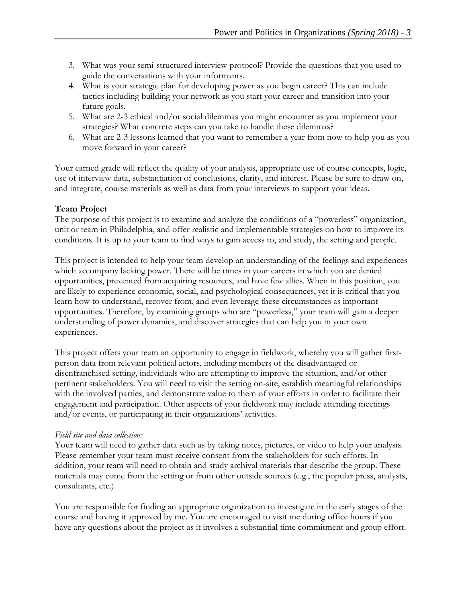- 3. What was your semi-structured interview protocol? Provide the questions that you used to guide the conversations with your informants.
- 4. What is your strategic plan for developing power as you begin career? This can include tactics including building your network as you start your career and transition into your future goals.
- 5. What are 2-3 ethical and/or social dilemmas you might encounter as you implement your strategies? What concrete steps can you take to handle these dilemmas?
- 6. What are 2-3 lessons learned that you want to remember a year from now to help you as you move forward in your career?

Your earned grade will reflect the quality of your analysis, appropriate use of course concepts, logic, use of interview data, substantiation of conclusions, clarity, and interest. Please be sure to draw on, and integrate, course materials as well as data from your interviews to support your ideas.

# **Team Project**

The purpose of this project is to examine and analyze the conditions of a "powerless" organization, unit or team in Philadelphia, and offer realistic and implementable strategies on how to improve its conditions. It is up to your team to find ways to gain access to, and study, the setting and people.

This project is intended to help your team develop an understanding of the feelings and experiences which accompany lacking power. There will be times in your careers in which you are denied opportunities, prevented from acquiring resources, and have few allies. When in this position, you are likely to experience economic, social, and psychological consequences, yet it is critical that you learn how to understand, recover from, and even leverage these circumstances as important opportunities. Therefore, by examining groups who are "powerless," your team will gain a deeper understanding of power dynamics, and discover strategies that can help you in your own experiences.

This project offers your team an opportunity to engage in fieldwork, whereby you will gather firstperson data from relevant political actors, including members of the disadvantaged or disenfranchised setting, individuals who are attempting to improve the situation, and/or other pertinent stakeholders. You will need to visit the setting on-site, establish meaningful relationships with the involved parties, and demonstrate value to them of your efforts in order to facilitate their engagement and participation. Other aspects of your fieldwork may include attending meetings and/or events, or participating in their organizations' activities.

#### *Field site and data collection:*

Your team will need to gather data such as by taking notes, pictures, or video to help your analysis. Please remember your team must receive consent from the stakeholders for such efforts. In addition, your team will need to obtain and study archival materials that describe the group. These materials may come from the setting or from other outside sources (e.g., the popular press, analysts, consultants, etc.).

You are responsible for finding an appropriate organization to investigate in the early stages of the course and having it approved by me. You are encouraged to visit me during office hours if you have any questions about the project as it involves a substantial time commitment and group effort.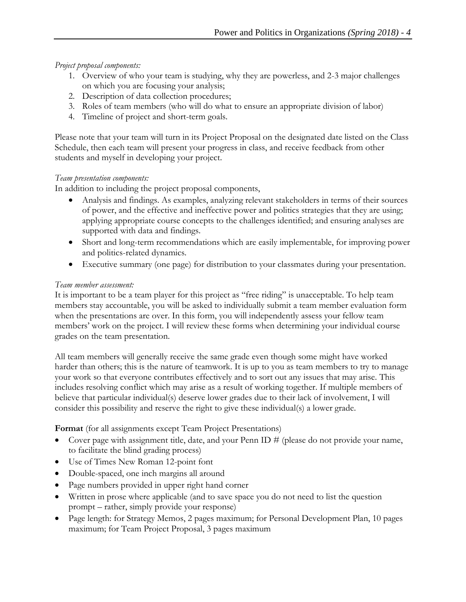## *Project proposal components:*

- 1. Overview of who your team is studying, why they are powerless, and 2-3 major challenges on which you are focusing your analysis;
- 2. Description of data collection procedures;
- 3. Roles of team members (who will do what to ensure an appropriate division of labor)
- 4. Timeline of project and short-term goals.

Please note that your team will turn in its Project Proposal on the designated date listed on the Class Schedule, then each team will present your progress in class, and receive feedback from other students and myself in developing your project.

#### *Team presentation components:*

In addition to including the project proposal components,

- Analysis and findings. As examples, analyzing relevant stakeholders in terms of their sources of power, and the effective and ineffective power and politics strategies that they are using; applying appropriate course concepts to the challenges identified; and ensuring analyses are supported with data and findings.
- Short and long-term recommendations which are easily implementable, for improving power and politics-related dynamics.
- Executive summary (one page) for distribution to your classmates during your presentation.

#### *Team member assessment:*

It is important to be a team player for this project as "free riding" is unacceptable. To help team members stay accountable, you will be asked to individually submit a team member evaluation form when the presentations are over. In this form, you will independently assess your fellow team members' work on the project. I will review these forms when determining your individual course grades on the team presentation.

All team members will generally receive the same grade even though some might have worked harder than others; this is the nature of teamwork. It is up to you as team members to try to manage your work so that everyone contributes effectively and to sort out any issues that may arise. This includes resolving conflict which may arise as a result of working together. If multiple members of believe that particular individual(s) deserve lower grades due to their lack of involvement, I will consider this possibility and reserve the right to give these individual(s) a lower grade.

**Format** (for all assignments except Team Project Presentations)

- Cover page with assignment title, date, and your Penn ID # (please do not provide your name, to facilitate the blind grading process)
- Use of Times New Roman 12-point font
- Double-spaced, one inch margins all around
- Page numbers provided in upper right hand corner
- Written in prose where applicable (and to save space you do not need to list the question prompt – rather, simply provide your response)
- Page length: for Strategy Memos, 2 pages maximum; for Personal Development Plan, 10 pages maximum; for Team Project Proposal, 3 pages maximum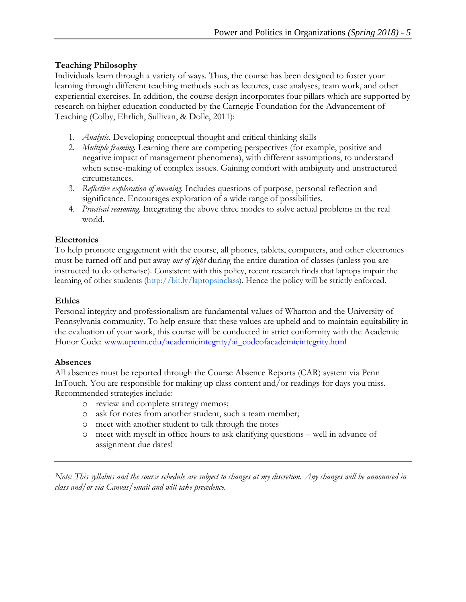# **Teaching Philosophy**

Individuals learn through a variety of ways. Thus, the course has been designed to foster your learning through different teaching methods such as lectures, case analyses, team work, and other experiential exercises. In addition, the course design incorporates four pillars which are supported by research on higher education conducted by the Carnegie Foundation for the Advancement of Teaching (Colby, Ehrlich, Sullivan, & Dolle, 2011):

- 1. *Analytic.* Developing conceptual thought and critical thinking skills
- 2. *Multiple framing.* Learning there are competing perspectives (for example, positive and negative impact of management phenomena), with different assumptions, to understand when sense-making of complex issues. Gaining comfort with ambiguity and unstructured circumstances.
- 3. *Reflective exploration of meaning.* Includes questions of purpose, personal reflection and significance. Encourages exploration of a wide range of possibilities.
- 4. *Practical reasoning.* Integrating the above three modes to solve actual problems in the real world.

# **Electronics**

To help promote engagement with the course, all phones, tablets, computers, and other electronics must be turned off and put away *out of sight* during the entire duration of classes (unless you are instructed to do otherwise). Consistent with this policy, recent research finds that laptops impair the learning of other students [\(http://bit.ly/laptopsinclass\)](http://bit.ly/laptopsinclass). Hence the policy will be strictly enforced.

## **Ethics**

Personal integrity and professionalism are fundamental values of Wharton and the University of Pennsylvania community. To help ensure that these values are upheld and to maintain equitability in the evaluation of your work, this course will be conducted in strict conformity with the Academic Honor Code: www.upenn.edu/academicintegrity/ai\_codeofacademicintegrity.html

# **Absences**

All absences must be reported through the Course Absence Reports (CAR) system via Penn InTouch. You are responsible for making up class content and/or readings for days you miss. Recommended strategies include:

- o review and complete strategy memos;
- o ask for notes from another student, such a team member;
- o meet with another student to talk through the notes
- o meet with myself in office hours to ask clarifying questions well in advance of assignment due dates!

*Note: This syllabus and the course schedule are subject to changes at my discretion. Any changes will be announced in class and/or via Canvas/email and will take precedence.*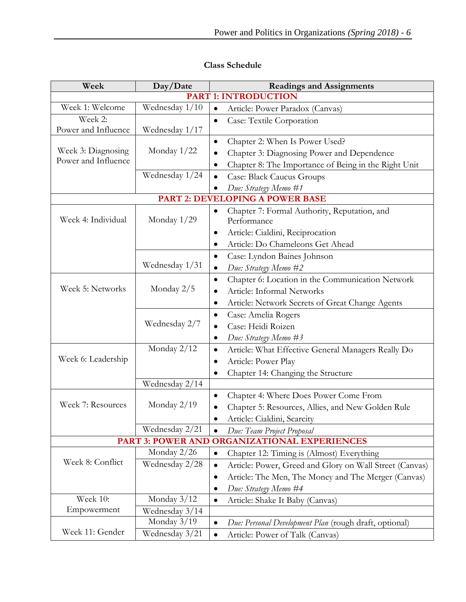| Week                                                          | Day/Date       | <b>Readings and Assignments</b>                                      |  |  |
|---------------------------------------------------------------|----------------|----------------------------------------------------------------------|--|--|
| <b>PART 1: INTRODUCTION</b>                                   |                |                                                                      |  |  |
| Week 1: Welcome                                               | Wednesday 1/10 | $\bullet$<br>Article: Power Paradox (Canvas)                         |  |  |
| Week 2:                                                       |                | Case: Textile Corporation<br>$\bullet$                               |  |  |
| Power and Influence                                           | Wednesday 1/17 |                                                                      |  |  |
|                                                               |                | Chapter 2: When Is Power Used?<br>$\bullet$                          |  |  |
| Week 3: Diagnosing<br>Power and Influence                     | Monday 1/22    | Chapter 3: Diagnosing Power and Dependence<br>$\bullet$              |  |  |
|                                                               |                | Chapter 8: The Importance of Being in the Right Unit<br>$\bullet$    |  |  |
|                                                               | Wednesday 1/24 | <b>Case: Black Caucus Groups</b><br>$\bullet$                        |  |  |
|                                                               |                | Due: Strategy Memo #1                                                |  |  |
|                                                               |                | PART 2: DEVELOPING A POWER BASE                                      |  |  |
|                                                               |                | Chapter 7: Formal Authority, Reputation, and<br>$\bullet$            |  |  |
| Week 4: Individual                                            | Monday $1/29$  | Performance                                                          |  |  |
|                                                               |                | Article: Cialdini, Reciprocation<br>$\bullet$                        |  |  |
|                                                               |                | Article: Do Chameleons Get Ahead<br>٠                                |  |  |
|                                                               |                | Case: Lyndon Baines Johnson<br>$\bullet$                             |  |  |
|                                                               | Wednesday 1/31 | Due: Strategy Memo #2<br>$\bullet$                                   |  |  |
|                                                               |                | Chapter 6: Location in the Communication Network<br>$\bullet$        |  |  |
| Week 5: Networks                                              | Monday 2/5     | Article: Informal Networks<br>٠                                      |  |  |
|                                                               |                | Article: Network Secrets of Great Change Agents<br>٠                 |  |  |
|                                                               |                | Case: Amelia Rogers<br>$\bullet$                                     |  |  |
|                                                               | Wednesday 2/7  | Case: Heidi Roizen<br>٠                                              |  |  |
|                                                               |                | Due: Strategy Memo #3<br>$\bullet$                                   |  |  |
| Week 6: Leadership                                            | Monday 2/12    | Article: What Effective General Managers Really Do<br>$\bullet$      |  |  |
|                                                               |                | Article: Power Play<br>٠                                             |  |  |
|                                                               |                | Chapter 14: Changing the Structure<br>$\bullet$                      |  |  |
|                                                               | Wednesday 2/14 |                                                                      |  |  |
| Week 7: Resources                                             |                | Chapter 4: Where Does Power Come From<br>$\bullet$                   |  |  |
|                                                               | Monday $2/19$  | Chapter 5: Resources, Allies, and New Golden Rule                    |  |  |
|                                                               |                | Article: Cialdini, Scarcity                                          |  |  |
|                                                               | Wednesday 2/21 | Due: Team Project Proposal<br>$\bullet$                              |  |  |
| <b>PART 3: POWER AND</b><br><b>ORGANIZATIONAL EXPERIENCES</b> |                |                                                                      |  |  |
| Week 8: Conflict                                              | Monday 2/26    | Chapter 12: Timing is (Almost) Everything<br>$\bullet$               |  |  |
|                                                               | Wednesday 2/28 | Article: Power, Greed and Glory on Wall Street (Canvas)<br>$\bullet$ |  |  |
|                                                               |                | Article: The Men, The Money and The Merger (Canvas)<br>$\bullet$     |  |  |
|                                                               |                | Due: Strategy Memo #4<br>٠                                           |  |  |
| Week 10:                                                      | Monday 3/12    | Article: Shake It Baby (Canvas)<br>$\bullet$                         |  |  |
| Empowerment                                                   | Wednesday 3/14 |                                                                      |  |  |
|                                                               | Monday 3/19    | Due: Personal Development Plan (rough draft, optional)<br>$\bullet$  |  |  |
| Week 11: Gender                                               | Wednesday 3/21 | Article: Power of Talk (Canvas)<br>$\bullet$                         |  |  |

# **Class Schedule**